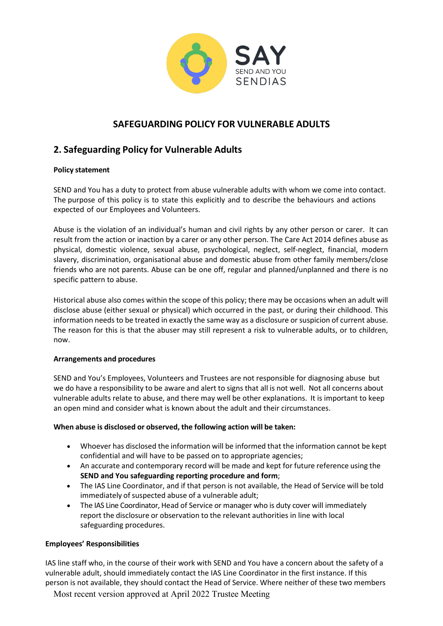

# **SAFEGUARDING POLICY FOR VULNERABLE ADULTS**

## **2. Safeguarding Policy for Vulnerable Adults**

## **Policy statement**

SEND and You has a duty to protect from abuse vulnerable adults with whom we come into contact. The purpose of this policy is to state this explicitly and to describe the behaviours and actions expected of our Employees and Volunteers.

Abuse is the violation of an individual's human and civil rights by any other person or carer. It can result from the action or inaction by a carer or any other person. The Care Act 2014 defines abuse as physical, domestic violence, sexual abuse, psychological, neglect, self-neglect, financial, modern slavery, discrimination, organisational abuse and domestic abuse from other family members/close friends who are not parents. Abuse can be one off, regular and planned/unplanned and there is no specific pattern to abuse.

Historical abuse also comes within the scope of this policy; there may be occasions when an adult will disclose abuse (either sexual or physical) which occurred in the past, or during their childhood. This information needs to be treated in exactly the same way as a disclosure or suspicion of current abuse. The reason for this is that the abuser may still represent a risk to vulnerable adults, or to children, now.

## **Arrangements and procedures**

SEND and You's Employees, Volunteers and Trustees are not responsible for diagnosing abuse but we do have a responsibility to be aware and alert to signs that all is not well. Not all concerns about vulnerable adults relate to abuse, and there may well be other explanations. It is important to keep an open mind and consider what is known about the adult and their circumstances.

## **When abuse is disclosed or observed, the following action will be taken:**

- Whoever has disclosed the information will be informed that the information cannot be kept confidential and will have to be passed on to appropriate agencies;
- An accurate and contemporary record will be made and kept for future reference using the **SEND and You safeguarding reporting procedure and form**;
- The IAS Line Coordinator, and if that person is not available, the Head of Service will be told immediately of suspected abuse of a vulnerable adult;
- The IAS Line Coordinator, Head of Service or manager who is duty cover will immediately report the disclosure or observation to the relevant authorities in line with local safeguarding procedures.

## **Employees' Responsibilities**

IAS line staff who, in the course of their work with SEND and You have a concern about the safety of a vulnerable adult, should immediately contact the IAS Line Coordinator in the first instance. If this person is not available, they should contact the Head of Service. Where neither of these two members

Most recent version approved at April 2022 Trustee Meeting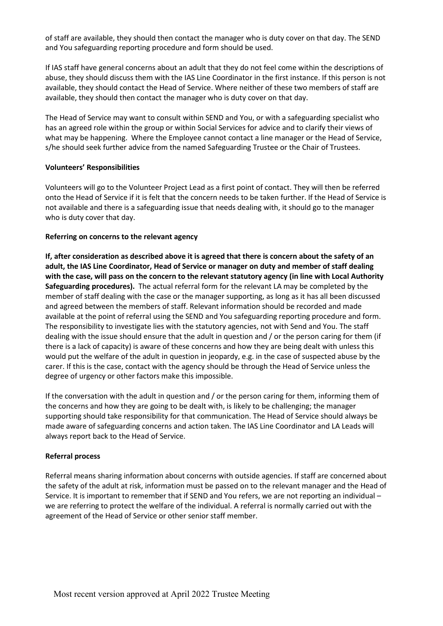of staff are available, they should then contact the manager who is duty cover on that day. The SEND and You safeguarding reporting procedure and form should be used.

If IAS staff have general concerns about an adult that they do not feel come within the descriptions of abuse, they should discuss them with the IAS Line Coordinator in the first instance. If this person is not available, they should contact the Head of Service. Where neither of these two members of staff are available, they should then contact the manager who is duty cover on that day.

The Head of Service may want to consult within SEND and You, or with a safeguarding specialist who has an agreed role within the group or within Social Services for advice and to clarify their views of what may be happening. Where the Employee cannot contact a line manager or the Head of Service, s/he should seek further advice from the named Safeguarding Trustee or the Chair of Trustees.

#### **Volunteers' Responsibilities**

Volunteers will go to the Volunteer Project Lead as a first point of contact. They will then be referred onto the Head of Service if it is felt that the concern needs to be taken further. If the Head of Service is not available and there is a safeguarding issue that needs dealing with, it should go to the manager who is duty cover that day.

### **Referring on concerns to the relevant agency**

**If, after consideration as described above it is agreed that there is concern about the safety of an adult, the IAS Line Coordinator, Head of Service or manager on duty and member of staff dealing with the case, will pass on the concern to the relevant statutory agency (in line with Local Authority Safeguarding procedures).** The actual referral form for the relevant LA may be completed by the member of staff dealing with the case or the manager supporting, as long as it has all been discussed and agreed between the members of staff. Relevant information should be recorded and made available at the point of referral using the SEND and You safeguarding reporting procedure and form. The responsibility to investigate lies with the statutory agencies, not with Send and You. The staff dealing with the issue should ensure that the adult in question and / or the person caring for them (if there is a lack of capacity) is aware of these concerns and how they are being dealt with unless this would put the welfare of the adult in question in jeopardy, e.g. in the case of suspected abuse by the carer. If this is the case, contact with the agency should be through the Head of Service unless the degree of urgency or other factors make this impossible.

If the conversation with the adult in question and / or the person caring for them, informing them of the concerns and how they are going to be dealt with, is likely to be challenging; the manager supporting should take responsibility for that communication. The Head of Service should always be made aware of safeguarding concerns and action taken. The IAS Line Coordinator and LA Leads will always report back to the Head of Service.

#### **Referral process**

Referral means sharing information about concerns with outside agencies. If staff are concerned about the safety of the adult at risk, information must be passed on to the relevant manager and the Head of Service. It is important to remember that if SEND and You refers, we are not reporting an individual – we are referring to protect the welfare of the individual. A referral is normally carried out with the agreement of the Head of Service or other senior staff member.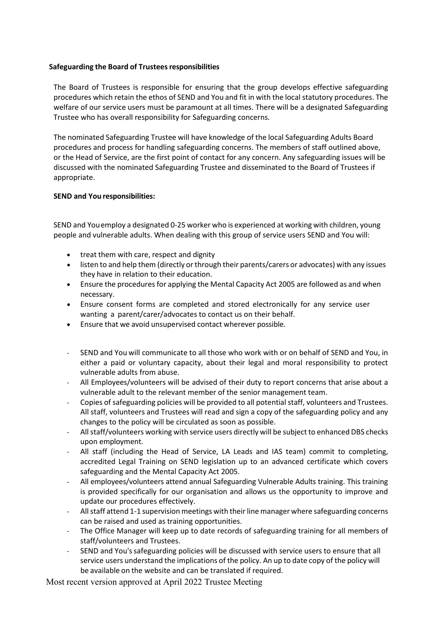#### **Safeguarding the Board of Trusteesresponsibilities**

The Board of Trustees is responsible for ensuring that the group develops effective safeguarding procedures which retain the ethos of SEND and You and fit in with the local statutory procedures. The welfare of our service users must be paramount at all times. There will be a designated Safeguarding Trustee who has overall responsibility for Safeguarding concerns.

The nominated Safeguarding Trustee will have knowledge of the local Safeguarding Adults Board procedures and process for handling safeguarding concerns. The members of staff outlined above, or the Head of Service, are the first point of contact for any concern. Any safeguarding issues will be discussed with the nominated Safeguarding Trustee and disseminated to the Board of Trustees if appropriate.

### **SEND and You responsibilities:**

SEND and Youemploy a designated 0-25 worker who is experienced at working with children, young people and vulnerable adults. When dealing with this group of service users SEND and You will:

- treat them with care, respect and dignity
- listen to and help them (directly or through their parents/carers or advocates) with any issues they have in relation to their education.
- Ensure the procedures for applying the Mental Capacity Act 2005 are followed as and when necessary.
- Ensure consent forms are completed and stored electronically for any service user wanting a parent/carer/advocates to contact us on their behalf.
- Ensure that we avoid unsupervised contact wherever possible.
- SEND and You will communicate to all those who work with or on behalf of SEND and You, in either a paid or voluntary capacity, about their legal and moral responsibility to protect vulnerable adults from abuse.
- All Employees/volunteers will be advised of their duty to report concerns that arise about a vulnerable adult to the relevant member of the senior management team.
- Copies of safeguarding policies will be provided to all potential staff, volunteers and Trustees. All staff, volunteers and Trustees will read and sign a copy of the safeguarding policy and any changes to the policy will be circulated as soon as possible.
- All staff/volunteers working with service users directly will be subject to enhanced DBS checks upon employment.
- All staff (including the Head of Service, LA Leads and IAS team) commit to completing, accredited Legal Training on SEND legislation up to an advanced certificate which covers safeguarding and the Mental Capacity Act 2005.
- All employees/volunteers attend annual Safeguarding Vulnerable Adults training. This training is provided specifically for our organisation and allows us the opportunity to improve and update our procedures effectively.
- All staff attend 1-1 supervision meetings with their line manager where safeguarding concerns can be raised and used as training opportunities.
- The Office Manager will keep up to date records of safeguarding training for all members of staff/volunteers and Trustees.
- SEND and You'ssafeguarding policies will be discussed with service users to ensure that all service users understand the implications of the policy. An up to date copy of the policy will be available on the website and can be translated if required.

Most recent version approved at April 2022 Trustee Meeting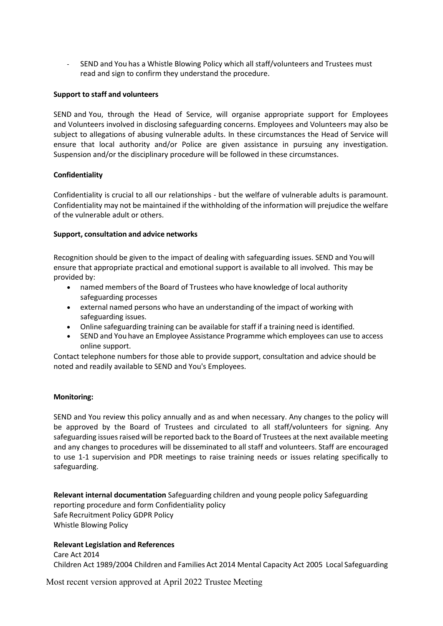- SEND and You has a Whistle Blowing Policy which all staff/volunteers and Trustees must read and sign to confirm they understand the procedure.

#### **Support to staff and volunteers**

SEND and You, through the Head of Service, will organise appropriate support for Employees and Volunteers involved in disclosing safeguarding concerns. Employees and Volunteers may also be subject to allegations of abusing vulnerable adults. In these circumstances the Head of Service will ensure that local authority and/or Police are given assistance in pursuing any investigation. Suspension and/or the disciplinary procedure will be followed in these circumstances.

#### **Confidentiality**

Confidentiality is crucial to all our relationships - but the welfare of vulnerable adults is paramount. Confidentiality may not be maintained if the withholding of the information will prejudice the welfare of the vulnerable adult or others.

#### **Support, consultation and advice networks**

Recognition should be given to the impact of dealing with safeguarding issues. SEND and Youwill ensure that appropriate practical and emotional support is available to all involved. This may be provided by:

- named members of the Board of Trustees who have knowledge of local authority safeguarding processes
- external named persons who have an understanding of the impact of working with safeguarding issues.
- Online safeguarding training can be available for staff if a training need is identified.
- SEND and You have an Employee Assistance Programme which employees can use to access online support.

Contact telephone numbers for those able to provide support, consultation and advice should be noted and readily available to SEND and You's Employees.

#### **Monitoring:**

SEND and You review this policy annually and as and when necessary. Any changes to the policy will be approved by the Board of Trustees and circulated to all staff/volunteers for signing. Any safeguarding issues raised will be reported back to the Board of Trustees at the next available meeting and any changes to procedures will be disseminated to all staff and volunteers. Staff are encouraged to use 1-1 supervision and PDR meetings to raise training needs or issues relating specifically to safeguarding.

**Relevant internal documentation** Safeguarding children and young people policy Safeguarding reporting procedure and form Confidentiality policy Safe Recruitment Policy GDPR Policy Whistle Blowing Policy

#### **Relevant Legislation and References**

Care Act 2014 Children Act 1989/2004 Children and Families Act 2014 Mental Capacity Act 2005 Local Safeguarding

Most recent version approved at April 2022 Trustee Meeting